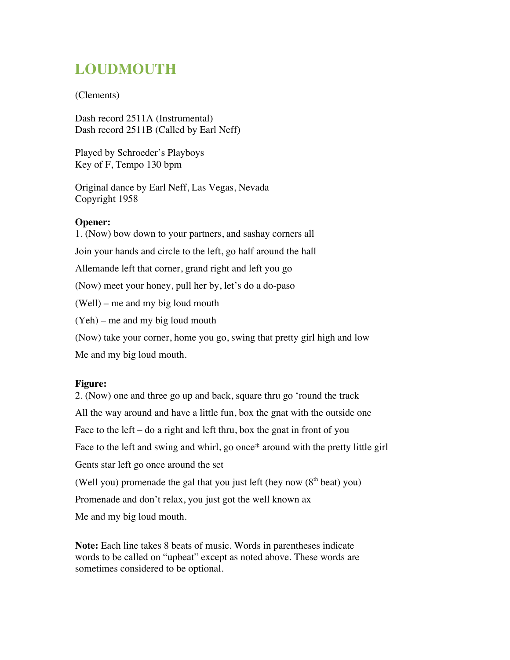# **LOUDMOUTH**

## (Clements)

Dash record 2511A (Instrumental) Dash record 2511B (Called by Earl Neff)

Played by Schroeder's Playboys Key of F, Tempo 130 bpm

Original dance by Earl Neff, Las Vegas, Nevada Copyright 1958

## **Opener:**

1. (Now) bow down to your partners, and sashay corners all Join your hands and circle to the left, go half around the hall Allemande left that corner, grand right and left you go (Now) meet your honey, pull her by, let's do a do-paso (Well) – me and my big loud mouth (Yeh) – me and my big loud mouth (Now) take your corner, home you go, swing that pretty girl high and low Me and my big loud mouth.

# **Figure:**

2. (Now) one and three go up and back, square thru go 'round the track All the way around and have a little fun, box the gnat with the outside one Face to the left – do a right and left thru, box the gnat in front of you Face to the left and swing and whirl, go once\* around with the pretty little girl Gents star left go once around the set (Well you) promenade the gal that you just left (hey now  $(8<sup>th</sup>$  beat) you) Promenade and don't relax, you just got the well known ax Me and my big loud mouth.

**Note:** Each line takes 8 beats of music. Words in parentheses indicate words to be called on "upbeat" except as noted above. These words are sometimes considered to be optional.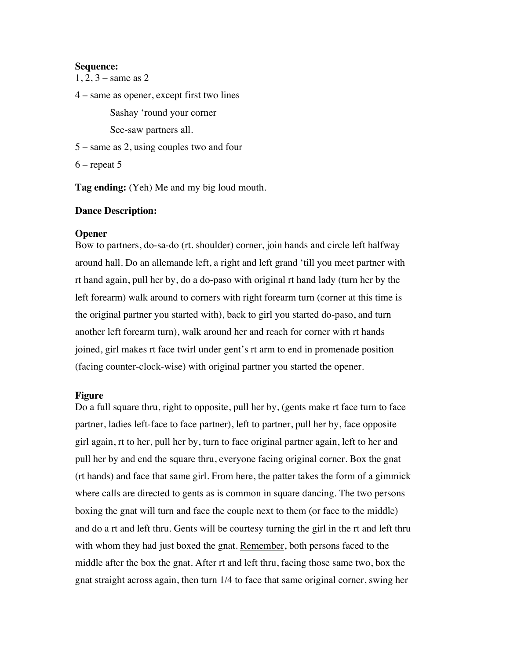#### **Sequence:**

1, 2, 3 – same as 2

4 – same as opener, except first two lines

Sashay 'round your corner

See-saw partners all.

5 – same as 2, using couples two and four

 $6$  – repeat 5

**Tag ending:** (Yeh) Me and my big loud mouth.

## **Dance Description:**

### **Opener**

Bow to partners, do-sa-do (rt. shoulder) corner, join hands and circle left halfway around hall. Do an allemande left, a right and left grand 'till you meet partner with rt hand again, pull her by, do a do-paso with original rt hand lady (turn her by the left forearm) walk around to corners with right forearm turn (corner at this time is the original partner you started with), back to girl you started do-paso, and turn another left forearm turn), walk around her and reach for corner with rt hands joined, girl makes rt face twirl under gent's rt arm to end in promenade position (facing counter-clock-wise) with original partner you started the opener.

#### **Figure**

Do a full square thru, right to opposite, pull her by, (gents make rt face turn to face partner, ladies left-face to face partner), left to partner, pull her by, face opposite girl again, rt to her, pull her by, turn to face original partner again, left to her and pull her by and end the square thru, everyone facing original corner. Box the gnat (rt hands) and face that same girl. From here, the patter takes the form of a gimmick where calls are directed to gents as is common in square dancing. The two persons boxing the gnat will turn and face the couple next to them (or face to the middle) and do a rt and left thru. Gents will be courtesy turning the girl in the rt and left thru with whom they had just boxed the gnat. Remember, both persons faced to the middle after the box the gnat. After rt and left thru, facing those same two, box the gnat straight across again, then turn 1/4 to face that same original corner, swing her